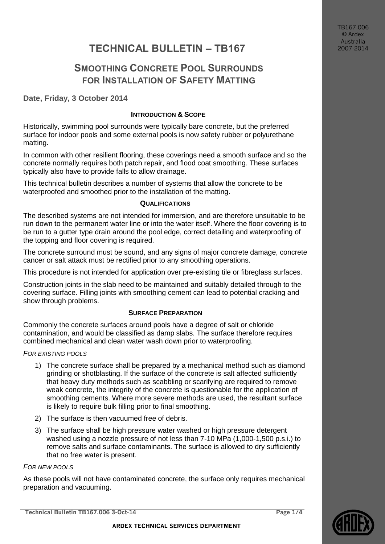TB167.006 © Ardex Australia 2007-2014

# **TECHNICAL BULLETIN – TB167**

## **SMOOTHING CONCRETE POOL SURROUNDS FOR INSTALLATION OF SAFETY MATTING**

**Date, Friday, 3 October 2014**

## **INTRODUCTION & SCOPE**

Historically, swimming pool surrounds were typically bare concrete, but the preferred surface for indoor pools and some external pools is now safety rubber or polyurethane matting.

In common with other resilient flooring, these coverings need a smooth surface and so the concrete normally requires both patch repair, and flood coat smoothing. These surfaces typically also have to provide falls to allow drainage.

This technical bulletin describes a number of systems that allow the concrete to be waterproofed and smoothed prior to the installation of the matting.

#### **QUALIFICATIONS**

The described systems are not intended for immersion, and are therefore unsuitable to be run down to the permanent water line or into the water itself. Where the floor covering is to be run to a gutter type drain around the pool edge, correct detailing and waterproofing of the topping and floor covering is required.

The concrete surround must be sound, and any signs of major concrete damage, concrete cancer or salt attack must be rectified prior to any smoothing operations.

This procedure is not intended for application over pre-existing tile or fibreglass surfaces.

Construction joints in the slab need to be maintained and suitably detailed through to the covering surface. Filling joints with smoothing cement can lead to potential cracking and show through problems.

#### **SURFACE PREPARATION**

Commonly the concrete surfaces around pools have a degree of salt or chloride contamination, and would be classified as damp slabs. The surface therefore requires combined mechanical and clean water wash down prior to waterproofing.

#### *FOR EXISTING POOLS*

- 1) The concrete surface shall be prepared by a mechanical method such as diamond grinding or shotblasting. If the surface of the concrete is salt affected sufficiently that heavy duty methods such as scabbling or scarifying are required to remove weak concrete, the integrity of the concrete is questionable for the application of smoothing cements. Where more severe methods are used, the resultant surface is likely to require bulk filling prior to final smoothing.
- 2) The surface is then vacuumed free of debris.
- 3) The surface shall be high pressure water washed or high pressure detergent washed using a nozzle pressure of not less than 7-10 MPa (1,000-1,500 p.s.i.) to remove salts and surface contaminants. The surface is allowed to dry sufficiently that no free water is present.

#### *FOR NEW POOLS*

As these pools will not have contaminated concrete, the surface only requires mechanical preparation and vacuuming.

**Technical Bulletin TB167.006 3-Oct-14 Page 1/4**

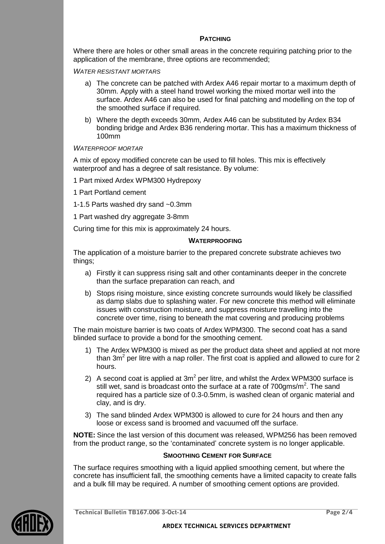#### **PATCHING**

Where there are holes or other small areas in the concrete requiring patching prior to the application of the membrane, three options are recommended;

*WATER RESISTANT MORTARS*

- a) The concrete can be patched with Ardex A46 repair mortar to a maximum depth of 30mm. Apply with a steel hand trowel working the mixed mortar well into the surface. Ardex A46 can also be used for final patching and modelling on the top of the smoothed surface if required.
- b) Where the depth exceeds 30mm, Ardex A46 can be substituted by Ardex B34 bonding bridge and Ardex B36 rendering mortar. This has a maximum thickness of 100mm

#### *WATERPROOF MORTAR*

A mix of epoxy modified concrete can be used to fill holes. This mix is effectively waterproof and has a degree of salt resistance. By volume:

1 Part mixed Ardex WPM300 Hydrepoxy

1 Part Portland cement

1-1.5 Parts washed dry sand ~0.3mm

1 Part washed dry aggregate 3-8mm

Curing time for this mix is approximately 24 hours.

#### **WATERPROOFING**

The application of a moisture barrier to the prepared concrete substrate achieves two things;

- a) Firstly it can suppress rising salt and other contaminants deeper in the concrete than the surface preparation can reach, and
- b) Stops rising moisture, since existing concrete surrounds would likely be classified as damp slabs due to splashing water. For new concrete this method will eliminate issues with construction moisture, and suppress moisture travelling into the concrete over time, rising to beneath the mat covering and producing problems

The main moisture barrier is two coats of Ardex WPM300. The second coat has a sand blinded surface to provide a bond for the smoothing cement.

- 1) The Ardex WPM300 is mixed as per the product data sheet and applied at not more than 3m<sup>2</sup> per litre with a nap roller. The first coat is applied and allowed to cure for 2 hours.
- 2) A second coat is applied at  $3m^2$  per litre, and whilst the Ardex WPM300 surface is still wet, sand is broadcast onto the surface at a rate of 700gms/m<sup>2</sup>. The sand required has a particle size of 0.3-0.5mm, is washed clean of organic material and clay, and is dry.
- 3) The sand blinded Ardex WPM300 is allowed to cure for 24 hours and then any loose or excess sand is broomed and vacuumed off the surface.

**NOTE:** Since the last version of this document was released, WPM256 has been removed from the product range, so the 'contaminated' concrete system is no longer applicable.

#### **SMOOTHING CEMENT FOR SURFACE**

The surface requires smoothing with a liquid applied smoothing cement, but where the concrete has insufficient fall, the smoothing cements have a limited capacity to create falls and a bulk fill may be required. A number of smoothing cement options are provided.



**Technical Bulletin TB167.006 3-Oct-14 Page 2/4**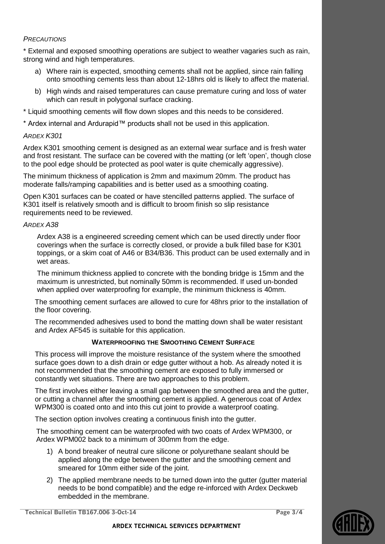### *PRECAUTIONS*

\* External and exposed smoothing operations are subject to weather vagaries such as rain, strong wind and high temperatures.

- a) Where rain is expected, smoothing cements shall not be applied, since rain falling onto smoothing cements less than about 12-18hrs old is likely to affect the material.
- b) High winds and raised temperatures can cause premature curing and loss of water which can result in polygonal surface cracking.
- \* Liquid smoothing cements will flow down slopes and this needs to be considered.
- \* Ardex internal and Ardurapid™ products shall not be used in this application.

### *ARDEX K301*

Ardex K301 smoothing cement is designed as an external wear surface and is fresh water and frost resistant. The surface can be covered with the matting (or left 'open', though close to the pool edge should be protected as pool water is quite chemically aggressive).

The minimum thickness of application is 2mm and maximum 20mm. The product has moderate falls/ramping capabilities and is better used as a smoothing coating.

Open K301 surfaces can be coated or have stencilled patterns applied. The surface of K301 itself is relatively smooth and is difficult to broom finish so slip resistance requirements need to be reviewed.

#### *ARDEX A38*

Ardex A38 is a engineered screeding cement which can be used directly under floor coverings when the surface is correctly closed, or provide a bulk filled base for K301 toppings, or a skim coat of A46 or B34/B36. This product can be used externally and in wet areas.

The minimum thickness applied to concrete with the bonding bridge is 15mm and the maximum is unrestricted, but nominally 50mm is recommended. If used un-bonded when applied over waterproofing for example, the minimum thickness is 40mm.

The smoothing cement surfaces are allowed to cure for 48hrs prior to the installation of the floor covering.

The recommended adhesives used to bond the matting down shall be water resistant and Ardex AF545 is suitable for this application.

## **WATERPROOFING THE SMOOTHING CEMENT SURFACE**

This process will improve the moisture resistance of the system where the smoothed surface goes down to a dish drain or edge gutter without a hob. As already noted it is not recommended that the smoothing cement are exposed to fully immersed or constantly wet situations. There are two approaches to this problem.

The first involves either leaving a small gap between the smoothed area and the gutter, or cutting a channel after the smoothing cement is applied. A generous coat of Ardex WPM300 is coated onto and into this cut joint to provide a waterproof coating.

The section option involves creating a continuous finish into the gutter.

The smoothing cement can be waterproofed with two coats of Ardex WPM300, or Ardex WPM002 back to a minimum of 300mm from the edge.

- 1) A bond breaker of neutral cure silicone or polyurethane sealant should be applied along the edge between the gutter and the smoothing cement and smeared for 10mm either side of the joint.
- 2) The applied membrane needs to be turned down into the gutter (gutter material needs to be bond compatible) and the edge re-inforced with Ardex Deckweb embedded in the membrane.

**Technical Bulletin TB167.006 3-Oct-14 Page 3/4**